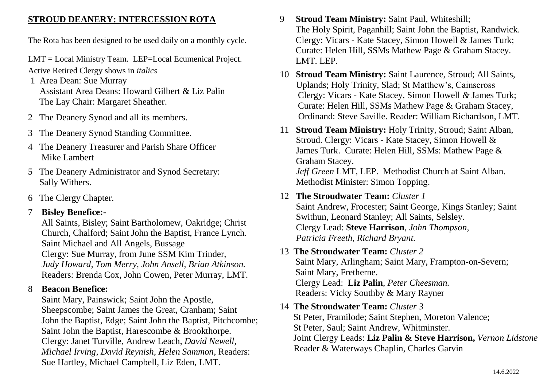#### **STROUD DEANERY: INTERCESSION ROTA**

The Rota has been designed to be used daily on a monthly cycle.

LMT = Local Ministry Team. LEP=Local Ecumenical Project.

Active Retired Clergy shows in *italics*

- 1 Area Dean: Sue Murray Assistant Area Deans: Howard Gilbert & Liz Palin The Lay Chair: Margaret Sheather.
- 2 The Deanery Synod and all its members.
- 3 The Deanery Synod Standing Committee.
- 4 The Deanery Treasurer and Parish Share Officer Mike Lambert
- 5 The Deanery Administrator and Synod Secretary: Sally Withers.
- 6 The Clergy Chapter.

## 7 **Bisley Benefice:-**

 All Saints, Bisley; Saint Bartholomew, Oakridge; Christ Church, Chalford; Saint John the Baptist, France Lynch. Saint Michael and All Angels, Bussage Clergy: Sue Murray, from June SSM Kim Trinder, *Judy Howard, Tom Merry, John Ansell, Brian Atkinson.* Readers: Brenda Cox, John Cowen, Peter Murray, LMT.

## 8 **Beacon Benefice:**

 Saint Mary, Painswick; Saint John the Apostle, Sheepscombe; Saint James the Great, Cranham; Saint John the Baptist, Edge; Saint John the Baptist, Pitchcombe; Saint John the Baptist, Harescombe & Brookthorpe. Clergy: Janet Turville*,* Andrew Leach, *David Newell, Michael Irving, David Reynish, Helen Sammon*, Readers: Sue Hartley, Michael Campbell, Liz Eden, LMT.

- 9 **Stroud Team Ministry:** Saint Paul, Whiteshill; The Holy Spirit, Paganhill; Saint John the Baptist, Randwick. Clergy: Vicars - Kate Stacey, Simon Howell & James Turk; Curate: Helen Hill, SSMs Mathew Page & Graham Stacey. LMT. LEP.
- 10 **Stroud Team Ministry:** Saint Laurence, Stroud; All Saints, Uplands; Holy Trinity, Slad; St Matthew's, Cainscross Clergy: Vicars - Kate Stacey, Simon Howell *&* James Turk; Curate: Helen Hill, SSMs Mathew Page & Graham Stacey, Ordinand: Steve Saville. Reader: William Richardson, LMT.
- 11 **Stroud Team Ministry:** Holy Trinity, Stroud; Saint Alban, Stroud. Clergy: Vicars - Kate Stacey, Simon Howell & James Turk. Curate: Helen Hill, SSMs: Mathew Page & Graham Stacey. *Jeff Green* LMT, LEP. Methodist Church at Saint Alban. Methodist Minister: Simon Topping.
- 12 **The Stroudwater Team:** *Cluster 1* Saint Andrew, Frocester; Saint George, Kings Stanley; Saint Swithun, Leonard Stanley; All Saints, Selsley. Clergy Lead: **Steve Harrison**, *John Thompson, Patricia Freeth, Richard Bryant.*

## 13 **The Stroudwater Team:** *Cluster 2*  Saint Mary, Arlingham; Saint Mary, Frampton-on-Severn; Saint Mary, Fretherne. Clergy Lead: **Liz Palin**, *Peter Cheesman.* Readers: Vicky Southby & Mary Rayner

14 **The Stroudwater Team:** *Cluster 3* St Peter, Framilode; Saint Stephen, Moreton Valence; St Peter, Saul; Saint Andrew, Whitminster. Joint Clergy Leads: **Liz Palin & Steve Harrison,** *Vernon Lidstone* Reader & Waterways Chaplin, Charles Garvin